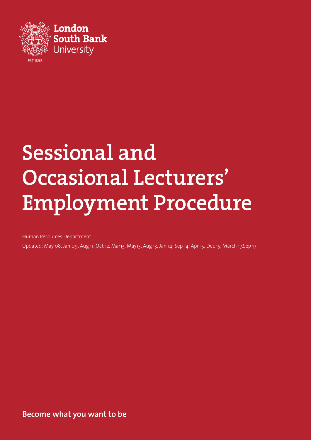

# Sessional and Occasional Lecturers' Employment Procedure

Human Resources Department

Updated: May 08, Jan 09, Aug 11, Oct 12, Mar13, May13, Aug 13, Jan 14, Sep 14, Apr 15, Dec 15, March 17,Sep 17

**Become what you want to be**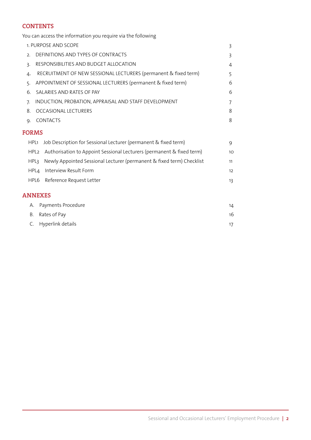# **CONTENTS**

You can access the information you require via the following

|              |                  | 1. PURPOSE AND SCOPE                                                  | 3              |  |  |  |  |
|--------------|------------------|-----------------------------------------------------------------------|----------------|--|--|--|--|
| 2.           |                  | DEFINITIONS AND TYPES OF CONTRACTS                                    |                |  |  |  |  |
| 3.           |                  | RESPONSIBILITIES AND BUDGET ALLOCATION                                |                |  |  |  |  |
| 4.           |                  | RECRUITMENT OF NEW SESSIONAL LECTURERS (permanent & fixed term)       | 5              |  |  |  |  |
| 5.           |                  | APPOINTMENT OF SESSIONAL LECTURERS (permanent & fixed term)           | 6              |  |  |  |  |
| 6.           |                  | SALARIES AND RATES OF PAY                                             | 6              |  |  |  |  |
| 7.           |                  | INDUCTION, PROBATION, APPRAISAL AND STAFF DEVELOPMENT                 | $\overline{7}$ |  |  |  |  |
| 8.           |                  | <b>OCCASIONAL LECTURERS</b>                                           | 8              |  |  |  |  |
| 9.           |                  | <b>CONTACTS</b>                                                       | 8              |  |  |  |  |
| <b>FORMS</b> |                  |                                                                       |                |  |  |  |  |
|              | HPL1             | Job Description for Sessional Lecturer (permanent & fixed term)       | 9              |  |  |  |  |
|              | HPL <sub>2</sub> | Authorisation to Appoint Sessional Lecturers (permanent & fixed term) | 10             |  |  |  |  |
|              | HPL3             | Newly Appointed Sessional Lecturer (permanent & fixed term) Checklist | 11             |  |  |  |  |
|              | HPL4             | Interview Result Form                                                 | 12             |  |  |  |  |
|              | HPL6             | Reference Request Letter                                              | 13             |  |  |  |  |
|              |                  | <b>ANNEXES</b>                                                        |                |  |  |  |  |
|              | А.               | Payments Procedure                                                    | 14             |  |  |  |  |
| В.           |                  | Rates of Pay                                                          | 16             |  |  |  |  |
| C.           |                  | Hyperlink details                                                     | 17             |  |  |  |  |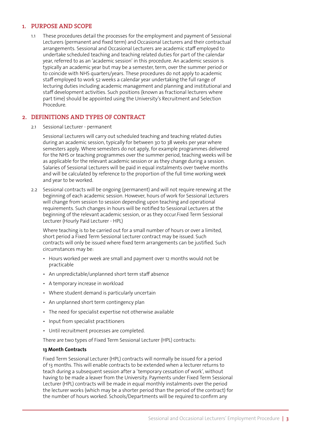### 1. PURPOSE AND SCOPE

1.1 These procedures detail the processes for the employment and payment of Sessional Lecturers (permanent and fixed term) and Occasional Lecturers and their contractual arrangements. Sessional and Occasional Lecturers are academic staff employed to undertake scheduled teaching and teaching related duties for part of the calendar year, referred to as an 'academic session' in this procedure. An academic session is typically an academic year but may be a semester, term, over the summer period or to coincide with NHS quarters/years. These procedures do not apply to academic staff employed to work 52 weeks a calendar year undertaking the full range of lecturing duties including academic management and planning and institutional and staff development activities. Such positions (known as fractional lecturers where part time) should be appointed using the University's Recruitment and Selection Procedure.

### 2. DEFINITIONS AND TYPES OF CONTRACT

2.1 Sessional Lecturer - permanent

Sessional Lecturers will carry out scheduled teaching and teaching related duties during an academic session, typically for between 30 to 38 weeks per year where semesters apply. Where semesters do not apply, for example programmes delivered for the NHS or teaching programmes over the summer period, teaching weeks will be as applicable for the relevant academic session or as they change during a session. Salaries of Sessional Lecturers will be paid in equal instalments over twelve months and will be calculated by reference to the proportion of the full time working week and year to be worked.

2.2 Sessional contracts will be ongoing (permanent) and will not require renewing at the beginning of each academic session. However, hours of work for Sessional Lecturers will change from session to session depending upon teaching and operational requirements. Such changes in hours will be notified to Sessional Lecturers at the beginning of the relevant academic session, or as they occur.Fixed Term Sessional Lecturer (Hourly Paid Lecturer - HPL)

Where teaching is to be carried out for a small number of hours or over a limited, short period a Fixed Term Sessional Lecturer contract may be issued. Such contracts will only be issued where fixed term arrangements can be justified. Such circumstances may be:

- Hours worked per week are small and payment over 12 months would not be practicable
- An unpredictable/unplanned short term staff absence
- A temporary increase in workload
- Where student demand is particularly uncertain
- An unplanned short term contingency plan
- The need for specialist expertise not otherwise available
- Input from specialist practitioners
- Until recruitment processes are completed.

There are two types of Fixed Term Sessional Lecturer (HPL) contracts:

#### **13 Month Contracts**

Fixed Term Sessional Lecturer (HPL) contracts will normally be issued for a period of 13 months. This will enable contracts to be extended when a lecturer returns to teach during a subsequent session after a 'temporary cessation of work', without having to be made a leaver from the University. Payments under Fixed Term Sessional Lecturer (HPL) contracts will be made in equal monthly instalments over the period the lecturer works (which may be a shorter period than the period of the contract) for the number of hours worked. Schools/Departments will be required to confirm any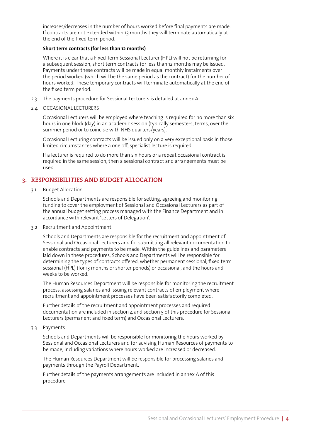increases/decreases in the number of hours worked before final payments are made. If contracts are not extended within 13 months they will terminate automatically at the end of the fixed term period.

### **Short term contracts (for less than 12 months)**

Where it is clear that a Fixed Term Sessional Lecturer (HPL) will not be returning for a subsequent session, short term contracts for less than 12 months may be issued. Payments under these contracts will be made in equal monthly instalments over the period worked (which will be the same period as the contract) for the number of hours worked. These temporary contracts will terminate automatically at the end of the fixed term period.

- 2.3 The payments procedure for Sessional Lecturers is detailed at annex A.
- 2.4 OCCASIONAL LECTURERS

Occasional Lecturers will be employed where teaching is required for no more than six hours in one block (day) in an academic session (typically semesters, terms, over the summer period or to coincide with NHS quarters/years).

Occasional Lecturing contracts will be issued only on a very exceptional basis in those limited circumstances where a one off, specialist lecture is required.

If a lecturer is required to do more than six hours or a repeat occasional contract is required in the same session, then a sessional contract and arrangements must be used.

# 3. RESPONSIBILITIES AND BUDGET ALLOCATION

3.1 Budget Allocation

Schools and Departments are responsible for setting, agreeing and monitoring funding to cover the employment of Sessional and Occasional Lecturers as part of the annual budget setting process managed with the Finance Department and in accordance with relevant 'Letters of Delegation'.

3.2 Recruitment and Appointment

Schools and Departments are responsible for the recruitment and appointment of Sessional and Occasional Lecturers and for submitting all relevant documentation to enable contracts and payments to be made. Within the guidelines and parameters laid down in these procedures, Schools and Departments will be responsible for determining the types of contracts offered, whether permanent sessional, fixed term sessional (HPL) (for 13 months or shorter periods) or occasional, and the hours and weeks to be worked.

The Human Resources Department will be responsible for monitoring the recruitment process, assessing salaries and issuing relevant contracts of employment where recruitment and appointment processes have been satisfactorily completed.

Further details of the recruitment and appointment processes and required documentation are included in section 4 and section 5 of this procedure for Sessional Lecturers (permanent and fixed term) and Occasional Lecturers.

3.3 Payments

Schools and Departments will be responsible for monitoring the hours worked by Sessional and Occasional Lecturers and for advising Human Resources of payments to be made, including variations where hours worked are increased or decreased.

The Human Resources Department will be responsible for processing salaries and payments through the Payroll Department.

Further details of the payments arrangements are included in annex A of this procedure.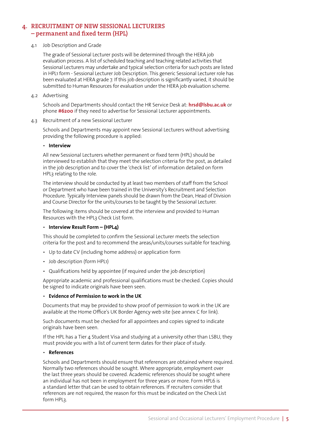# 4. RECRUITMENT OF NEW SESSIONAL LECTURERS – permanent and fixed term (HPL)

### 4.1 Job Description and Grade

The grade of Sessional Lecturer posts will be determined through the HERA job evaluation process. A list of scheduled teaching and teaching related activities that Sessional Lecturers may undertake and typical selection criteria for such posts are listed in HPL1 form - Sessional Lecturer Job Description. This generic Sessional Lecturer role has been evaluated at HERA grade 7. If this job description is significantly varied, it should be submitted to Human Resources for evaluation under the HERA job evaluation scheme.

4.2 Advertising

Schools and Departments should contact the HR Service Desk at: **hrsd@lsbu.ac.uk** or phone **#6200** if they need to advertise for Sessional Lecturer appointments.

4.3 Recruitment of a new Sessional Lecturer

Schools and Departments may appoint new Sessional Lecturers without advertising providing the following procedure is applied:

### • **Interview**

All new Sessional Lecturers whether permanent or fixed term (HPL) should be interviewed to establish that they meet the selection criteria for the post, as detailed in the job description and to cover the 'check list' of information detailed on form HPL3 relating to the role.

The interview should be conducted by at least two members of staff from the School or Department who have been trained in the University's Recruitment and Selection Procedure. Typically Interview panels should be drawn from the Dean, Head of Division and Course Director for the units/courses to be taught by the Sessional Lecturer.

The following items should be covered at the interview and provided to Human Resources with the HPL3 Check List form.

### • **Interview Result Form – (HPL4)**

This should be completed to confirm the Sessional Lecturer meets the selection criteria for the post and to recommend the areas/units/courses suitable for teaching.

- Up to date CV (including home address) or application form
- Job description (form HPL1)
- Qualifications held by appointee (if required under the job description)

Appropriate academic and professional qualifications must be checked. Copies should be signed to indicate originals have been seen.

### • **Evidence of Permission to work in the UK**

Documents that may be provided to show proof of permission to work in the UK are available at the Home Office's UK Border Agency web site (see annex C for link).

Such documents must be checked for all appointees and copies signed to indicate originals have been seen.

If the HPL has a Tier 4 Student Visa and studying at a university other than LSBU, they must provide you with a list of current term dates for their place of study.

### • **References**

Schools and Departments should ensure that references are obtained where required. Normally two references should be sought. Where appropriate, employment over the last three years should be covered. Academic references should be sought where an individual has not been in employment for three years or more. Form HPL6 is a standard letter that can be used to obtain references. If recruiters consider that references are not required, the reason for this must be indicated on the Check List form HPL3.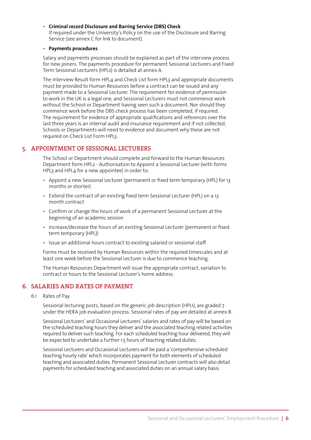• **Criminal record Disclosure and Barring Service (DBS) Check** If required under the University's Policy on the use of the Disclosure and Barring Service (see annex C for link to document).

### • **Payments procedures**

Salary and payments processes should be explained as part of the interview process for new joiners. The payments procedure for permanent Sessional Lecturers and Fixed Term Sessional Lecturers (HPLs) is detailed at annex A.

The Interview Result form HPL4 and Check List form HPL3 and appropriate documents must be provided to Human Resources before a contract can be issued and any payment made to a Sessional Lecturer. The requirement for evidence of permission to work in the UK is a legal one, and Sessional Lecturers must not commence work without the School or Department having seen such a document. Nor should they commence work before the DBS check process has been completed, if required. The requirement for evidence of appropriate qualifications and references over the last three years is an internal audit and insurance requirement and if not collected, Schools or Departments will need to evidence and document why these are not required on Check List Form HPL3.

# 5. APPOINTMENT OF SESSIONAL LECTURERS

The School or Department should complete and forward to the Human Resources Department form HPL2 - Authorisation to Appoint a Sessional Lecturer (with forms HPL3 and HPL4 for a new appointee) in order to:

- Appoint a new Sessional Lecturer (permanent or fixed term temporary (HPL) for 13 months or shorter)
- Extend the contract of an existing fixed term Sessional Lecturer (HPL) on a 13 month contract
- Confirm or change the hours of work of a permanent Sessional Lecturer at the beginning of an academic session
- Increase/decrease the hours of an existing Sessional Lecturer (permanent or fixed term temporary (HPL))
- Issue an additional hours contract to existing salaried or sessional staff.

Forms must be received by Human Resources within the required timescales and at least one week before the Sessional Lecturer is due to commence teaching.

The Human Resources Department will issue the appropriate contract, variation to contract or hours to the Sessional Lecturer's home address.

### 6. SALARIES AND RATES OF PAYMENT

6.1 Rates of Pay

Sessional lecturing posts, based on the generic job description (HPL1), are graded 7 under the HERA job evaluation process. Sessional rates of pay are detailed at annex B.

Sessional Lecturers' and Occasional Lecturers' salaries and rates of pay will be based on the scheduled teaching hours they deliver and the associated teaching related activities required to deliver such teaching. For each scheduled teaching hour delivered, they will be expected to undertake a further 1.5 hours of teaching related duties.

Sessional Lecturers and Occasional Lecturers will be paid a 'comprehensive scheduled teaching hourly rate' which incorporates payment for both elements of scheduled teaching and associated duties. Permanent Sessional Lecturer contracts will also detail payments for scheduled teaching and associated duties on an annual salary basis.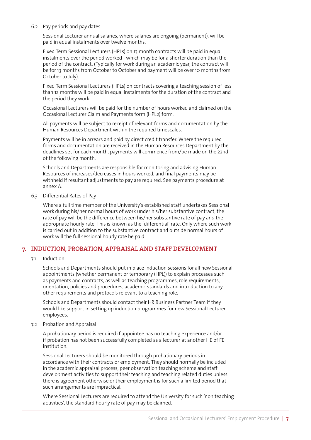#### 6.2 Pay periods and pay dates

Sessional Lecturer annual salaries, where salaries are ongoing (permanent), will be paid in equal instalments over twelve months.

Fixed Term Sessional Lecturers (HPLs) on 13 month contracts will be paid in equal instalments over the period worked - which may be for a shorter duration than the period of the contract. (Typically for work during an academic year, the contract will be for 13 months from October to October and payment will be over 10 months from October to July).

Fixed Term Sessional Lecturers (HPLs) on contracts covering a teaching session of less than 12 months will be paid in equal instalments for the duration of the contract and the period they work.

Occasional Lecturers will be paid for the number of hours worked and claimed on the Occasional Lecturer Claim and Payments form (HPL2) form.

All payments will be subject to receipt of relevant forms and documentation by the Human Resources Department within the required timescales.

Payments will be in arrears and paid by direct credit transfer. Where the required forms and documentation are received in the Human Resources Department by the deadlines set for each month, payments will commence from/be made on the 22nd of the following month.

Schools and Departments are responsible for monitoring and advising Human Resources of increases/decreases in hours worked, and final payments may be withheld if resultant adjustments to pay are required. See payments procedure at annex A.

6.3 Differential Rates of Pay

Where a full time member of the University's established staff undertakes Sessional work during his/her normal hours of work under his/her substantive contract, the rate of pay will be the difference between his/her substantive rate of pay and the appropriate hourly rate. This is known as the 'differential' rate. Only where such work is carried out in addition to the substantive contract and outside normal hours of work will the full sessional hourly rate be paid.

### 7. INDUCTION, PROBATION, APPRAISAL AND STAFF DEVELOPMENT

### 7.1 Induction

Schools and Departments should put in place induction sessions for all new Sessional appointments (whether permanent or temporary (HPL)) to explain processes such as payments and contracts, as well as teaching programmes, role requirements, orientation, policies and procedures, academic standards and introduction to any other requirements and protocols relevant to a teaching role.

Schools and Departments should contact their HR Business Partner Team if they would like support in setting up induction programmes for new Sessional Lecturer employees.

### 7.2 Probation and Appraisal

A probationary period is required if appointee has no teaching experience and/or if probation has not been successfully completed as a lecturer at another HE of FE institution.

Sessional Lecturers should be monitored through probationary periods in accordance with their contracts or employment. They should normally be included in the academic appraisal process, peer observation teaching scheme and staff development activities to support their teaching and teaching related duties unless there is agreement otherwise or their employment is for such a limited period that such arrangements are impractical.

Where Sessional Lecturers are required to attend the University for such 'non teaching activities', the standard hourly rate of pay may be claimed.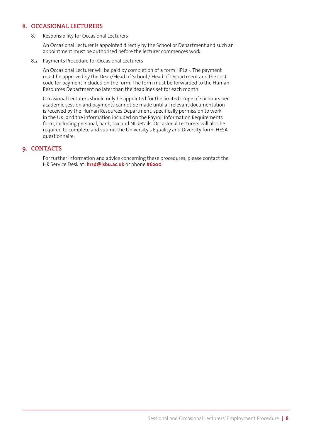# 8. OCCASIONAL LECTURERS

8.1 Responsibility for Occasional Lecturers

An Occasional Lecturer is appointed directly by the School or Department and such an appointment must be authorised before the lecturer commences work.

8.2 Payments Procedure for Occasional Lecturers

An Occasional Lecturer will be paid by completion of a form HPL2 -. The payment must be approved by the Dean/Head of School / Head of Department and the cost code for payment included on the form. The form must be forwarded to the Human Resources Department no later than the deadlines set for each month.

Occasional Lecturers should only be appointed for the limited scope of six hours per academic session and payments cannot be made until all relevant documentation is received by the Human Resources Department, specifically permission to work in the UK, and the information included on the Payroll Information Requirements form, including personal, bank, tax and NI details. Occasional Lecturers will also be required to complete and submit the University's Equality and Diversity form, HESA questionnaire.

### 9. CONTACTS

For further information and advice concerning these procedures, please contact the HR Service Desk at: **hrsd@lsbu.ac.uk** or phone **#6200**.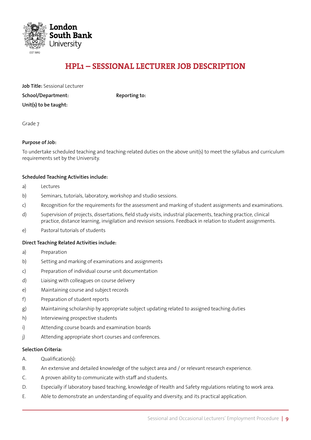

# HPL1 – SESSIONAL LECTURER JOB DESCRIPTION

| <b>Job Title: Sessional Lecturer</b> |
|--------------------------------------|
| School/Department:                   |
| Unit(s) to be taught:                |

**Reporting to:** 

Grade 7

### **Purpose of Job:**

To undertake scheduled teaching and teaching-related duties on the above unit(s) to meet the syllabus and curriculum requirements set by the University.

### **Scheduled Teaching Activities include:**

- a) Lectures
- b) Seminars, tutorials, laboratory, workshop and studio sessions.
- c) Recognition for the requirements for the assessment and marking of student assignments and examinations.
- d) Supervision of projects, dissertations, field study visits, industrial placements, teaching practice, clinical practice, distance learning, invigilation and revision sessions. Feedback in relation to student assignments.
- e) Pastoral tutorials of students

### **Direct Teaching Related Activities include:**

- a) Preparation
- b) Setting and marking of examinations and assignments
- c) Preparation of individual course unit documentation
- d) Liaising with colleagues on course delivery
- e) Maintaining course and subject records
- f) Preparation of student reports
- g) Maintaining scholarship by appropriate subject updating related to assigned teaching duties
- h) Interviewing prospective students
- i) Attending course boards and examination boards
- j) Attending appropriate short courses and conferences.

### **Selection Criteria:**

- A. Qualification(s):
- B. An extensive and detailed knowledge of the subject area and / or relevant research experience.
- C. A proven ability to communicate with staff and students.
- D. Especially if laboratory based teaching, knowledge of Health and Safety regulations relating to work area.
- E. Able to demonstrate an understanding of equality and diversity, and its practical application.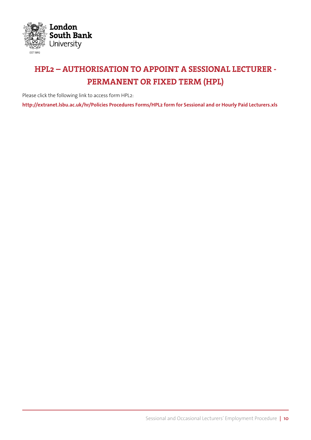

# HPL2 – AUTHORISATION TO APPOINT A SESSIONAL LECTURER - PERMANENT OR FIXED TERM (HPL)

Please click the following link to access form HPL2:

**[http://extranet.lsbu.ac.uk/hr/Policies Procedures Forms/HPL2 form for Sessional and or Hourly Paid Lecturers.xls](http://extranet.lsbu.ac.uk/hr/Policies Procedures  Forms/HPL2 form for Sessional and or Hourly Paid Lecturers.xls)**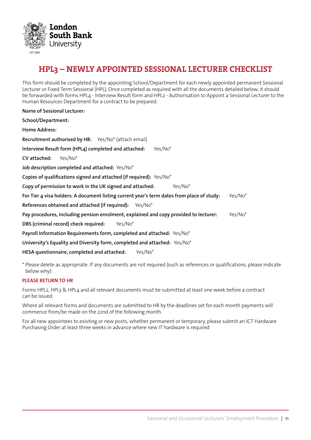

# HPL3 – NEWLY APPOINTED SESSIONAL LECTURER CHECKLIST

This form should be completed by the appointing School/Department for each newly appointed permanent Sessional Lecturer or Fixed Term Sessional (HPL). Once completed as required with all the documents detailed below, it should be forwarded with forms HPL4 - Interview Result form and HPL2 - Authorisation to Appoint a Sessional Lecturer to the Human Resources Department for a contract to be prepared.

| <b>Name of Sessional Lecturer:</b>                                                                    |  |  |  |  |  |
|-------------------------------------------------------------------------------------------------------|--|--|--|--|--|
| School/Department:                                                                                    |  |  |  |  |  |
| Home Address:                                                                                         |  |  |  |  |  |
| Recruitment authorised by HR: Yes/No* (attach email)                                                  |  |  |  |  |  |
| Interview Result form (HPL4) completed and attached:<br>Yes/No*                                       |  |  |  |  |  |
| CV attached:<br>Yes/No <sup>*</sup>                                                                   |  |  |  |  |  |
| Job description completed and attached: Yes/No*                                                       |  |  |  |  |  |
| Copies of qualifications signed and attached (if required): Yes/No*                                   |  |  |  |  |  |
| Copy of permission to work in the UK signed and attached:<br>Yes/No <sup>*</sup>                      |  |  |  |  |  |
| For Tier 4 visa holders: A document listing current year's term dates from place of study:<br>Yes/No* |  |  |  |  |  |
| References obtained and attached (if required): Yes/No*                                               |  |  |  |  |  |
| Pay procedures, including pension enrolment, explained and copy provided to lecturer:<br>Yes/No*      |  |  |  |  |  |
| DBS (criminal record) check required:<br>Yes/No <sup>*</sup>                                          |  |  |  |  |  |
| Payroll Information Requirements form, completed and attached: Yes/No*                                |  |  |  |  |  |
| University's Equality and Diversity form, completed and attached: Yes/No*                             |  |  |  |  |  |
| HESA questionnaire, completed and attached:<br>Yes/No <sup>*</sup>                                    |  |  |  |  |  |

\* Please delete as appropriate. If any documents are not required (such as references or qualifications, please indicate below why):

### **PLEASE RETURN TO HR**

Forms HPL2, HPL3 & HPL4 and all relevant documents must be submitted at least one week before a contract can be issued.

Where all relevant forms and documents are submitted to HR by the deadlines set for each month payments will commence from/be made on the 22nd of the following month.

For all new appointees to existing or new posts, whether permanent or temporary, please submit an ICT Hardware Purchasing Order at least three weeks in advance where new IT hardware is required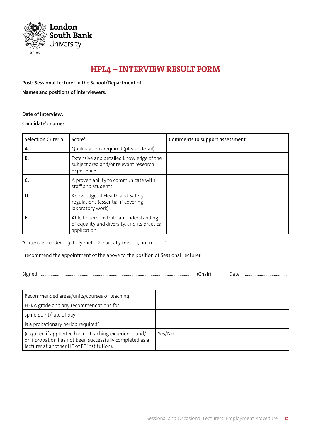

# HPL4 – INTERVIEW RESULT FORM

**Post: Sessional Lecturer in the School/Department of: Names and positions of interviewers:**

**Date of interview:**

**Candidate's name:**

| <b>Selection Criteria</b> | Score*                                                                                              | Comments to support assessment |
|---------------------------|-----------------------------------------------------------------------------------------------------|--------------------------------|
| А.                        | Qualifications required (please detail)                                                             |                                |
| В.                        | Extensive and detailed knowledge of the<br>subject area and/or relevant research<br>experience      |                                |
|                           | A proven ability to communicate with<br>staff and students                                          |                                |
| D.                        | Knowledge of Health and Safety<br>regulations (essential if covering<br>laboratory work)            |                                |
| Е.                        | Able to demonstrate an understanding<br>of equality and diversity, and its practical<br>application |                                |

\*Criteria exceeded  $-$  3, fully met  $-$  2, partially met  $-$  1, not met  $-$  0.

I recommend the appointment of the above to the position of Sessional Lecturer:

Signed ............................................................................................................................................ (Chair) Date .......................................

| Recommended areas/units/courses of teaching:                                                                                                                     |        |
|------------------------------------------------------------------------------------------------------------------------------------------------------------------|--------|
| HERA grade and any recommendations for                                                                                                                           |        |
| spine point/rate of pay                                                                                                                                          |        |
| Is a probationary period required?                                                                                                                               |        |
| (required if appointee has no teaching experience and/<br>or if probation has not been successfully completed as a<br>lecturer at another HE of FE institution). | Yes/No |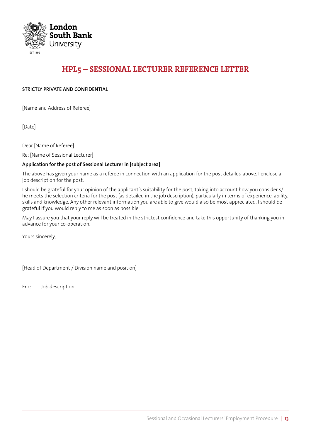

# HPL5 – SESSIONAL LECTURER REFERENCE LETTER

### **STRICTLY PRIVATE AND CONFIDENTIAL**

[Name and Address of Referee]

[Date]

Dear [Name of Referee]

Re: [Name of Sessional Lecturer]

### **Application for the post of Sessional Lecturer in [subject area]**

The above has given your name as a referee in connection with an application for the post detailed above. I enclose a job description for the post.

I should be grateful for your opinion of the applicant's suitability for the post, taking into account how you consider s/ he meets the selection criteria for the post (as detailed in the job description), particularly in terms of experience, ability, skills and knowledge. Any other relevant information you are able to give would also be most appreciated. I should be grateful if you would reply to me as soon as possible.

May I assure you that your reply will be treated in the strictest confidence and take this opportunity of thanking you in advance for your co-operation.

Yours sincerely,

[Head of Department / Division name and position]

Enc: Job description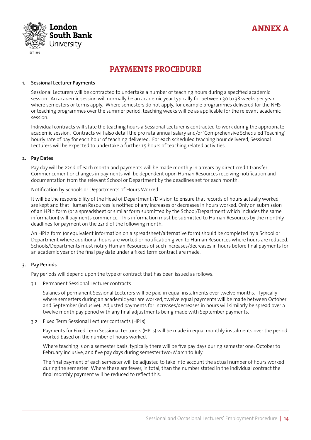



# PAYMENTS PROCEDURE

#### **1. Sessional Lecturer Payments**

Sessional Lecturers will be contracted to undertake a number of teaching hours during a specified academic session. An academic session will normally be an academic year typically for between 30 to 38 weeks per year where semesters or terms apply. Where semesters do not apply, for example programmes delivered for the NHS or teaching programmes over the summer period, teaching weeks will be as applicable for the relevant academic session.

Individual contracts will state the teaching hours a Sessional Lecturer is contracted to work during the appropriate academic session. Contracts will also detail the pro rata annual salary and/or 'Comprehensive Scheduled Teaching' hourly rate of pay for each hour of teaching delivered. For each scheduled teaching hour delivered, Sessional Lecturers will be expected to undertake a further 1.5 hours of teaching related activities.

#### **2. Pay Dates**

Pay day will be 22nd of each month and payments will be made monthly in arrears by direct credit transfer. Commencement or changes in payments will be dependent upon Human Resources receiving notification and documentation from the relevant School or Department by the deadlines set for each month.

Notification by Schools or Departments of Hours Worked

It will be the responsibility of the Head of Department /Division to ensure that records of hours actually worked are kept and that Human Resources is notified of any increases or decreases in hours worked. Only on submission of an HPL2 form (or a spreadsheet or similar form submitted by the School/Department which includes the same information) will payments commence. This information must be submitted to Human Resources by the monthly deadlines for payment on the 22nd of the following month.

An HPL2 form (or equivalent information on a spreadsheet/alternative form) should be completed by a School or Department where additional hours are worked or notification given to Human Resources where hours are reduced. Schools/Departments must notify Human Resources of such increases/decreases in hours before final payments for an academic year or the final pay date under a fixed term contract are made.

### **3. Pay Periods**

Pay periods will depend upon the type of contract that has been issued as follows:

3.1 Permanent Sessional Lecturer contracts

Salaries of permanent Sessional Lecturers will be paid in equal instalments over twelve months. Typically where semesters during an academic year are worked, twelve equal payments will be made between October and September (inclusive). Adjusted payments for increases/decreases in hours will similarly be spread over a twelve month pay period with any final adjustments being made with September payments.

3.2 Fixed Term Sessional Lecturer contracts (HPLs)

Payments for Fixed Term Sessional Lecturers (HPLs) will be made in equal monthly instalments over the period worked based on the number of hours worked.

Where teaching is on a semester basis, typically there will be five pay days during semester one: October to February inclusive, and five pay days during semester two: March to July.

The final payment of each semester will be adjusted to take into account the actual number of hours worked during the semester. Where these are fewer, in total, than the number stated in the individual contract the final monthly payment will be reduced to reflect this.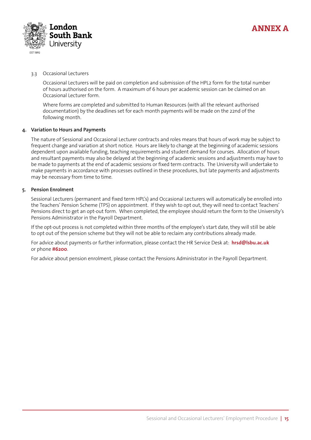

### 3.3 Occasional Lecturers

Occasional Lecturers will be paid on completion and submission of the HPL2 form for the total number of hours authorised on the form. A maximum of 6 hours per academic session can be claimed on an Occasional Lecturer form.

Where forms are completed and submitted to Human Resources (with all the relevant authorised documentation) by the deadlines set for each month payments will be made on the 22nd of the following month.

### **4. Variation to Hours and Payments**

The nature of Sessional and Occasional Lecturer contracts and roles means that hours of work may be subject to frequent change and variation at short notice. Hours are likely to change at the beginning of academic sessions dependent upon available funding, teaching requirements and student demand for courses. Allocation of hours and resultant payments may also be delayed at the beginning of academic sessions and adjustments may have to be made to payments at the end of academic sessions or fixed term contracts. The University will undertake to make payments in accordance with processes outlined in these procedures, but late payments and adjustments may be necessary from time to time.

### **5. Pension Enrolment**

Sessional Lecturers (permanent and fixed term HPL's) and Occasional Lecturers will automatically be enrolled into the Teachers' Pension Scheme (TPS) on appointment. If they wish to opt out, they will need to contact Teachers' Pensions direct to get an opt-out form. When completed, the employee should return the form to the University's Pensions Administrator in the Payroll Department.

If the opt-out process is not completed within three months of the employee's start date, they will still be able to opt out of the pension scheme but they will not be able to reclaim any contributions already made.

For advice about payments or further information, please contact the HR Service Desk at: **hrsd@lsbu.ac.uk** or phone **#6200**.

For advice about pension enrolment, please contact the Pensions Administrator in the Payroll Department.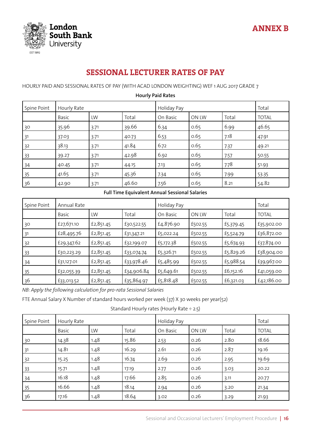

# SESSIONAL LECTURER RATES OF PAY

HOURLY PAID AND SESSIONAL RATES OF PAY (WITH ACAD LONDON WEIGHTING) WEF 1 AUG 2017 GRADE 7

| Spine Point | Hourly Rate |      |       | Holiday Pay |              |       | Total        |
|-------------|-------------|------|-------|-------------|--------------|-------|--------------|
|             | Basic       | LW   | Total | On Basic    | <b>ON LW</b> | Total | <b>TOTAL</b> |
| 30          | 35.96       | 3.71 | 39.66 | 6.34        | 0.65         | 6.99  | 46.65        |
| 31          | 37.03       | 3.71 | 40.73 | 6.53        | 0.65         | 7.18  | 47.91        |
| 32          | 38.13       | 3.71 | 41.84 | 6.72        | 0.65         | 7.37  | 49.21        |
| 33          | 39.27       | 3.71 | 42.98 | 6.92        | 0.65         | 7.57  | 50.55        |
| 34          | 40.45       | 3.71 | 44.15 | 7.13        | 0.65         | 7.78  | 51.93        |
| 35          | 41.65       | 3.71 | 45.36 | 7.34        | 0.65         | 7.99  | 53.35        |
| 36          | 42.90       | 3.71 | 46.60 | 7.56        | 0.65         | 8.21  | 54.82        |

### **Hourly Paid Rates**

# **Full Time Equivalent Annual Sessional Salaries**

| Spine Point | Annual Rate |           |            | Holiday Pay |         |           | Total        |
|-------------|-------------|-----------|------------|-------------|---------|-----------|--------------|
|             | Basic       | LW        | Total      | On Basic    | ON LW   | Total     | <b>TOTAL</b> |
| 30          | £27,671.10  | £2,851.45 | £30,522.55 | £4,876.90   | £502.55 | £5,379.45 | £35,902.00   |
| 31          | £28,495.76  | £2,851.45 | £31,347.21 | £5,022.24   | £502.55 | £5,524.79 | £36,872.00   |
| 32          | £29,347.62  | £2,851.45 | £32,199.07 | £5,172.38   | £502.55 | £5,674.93 | £37,874.00   |
| 33          | £30,223.29  | £2,851.45 | £33,074.74 | £5,326.71   | £502.55 | £5,829.26 | £38,904.00   |
| 34          | £31,127.01  | £2,851.45 | £33,978.46 | £5,485.99   | £502.55 | £5,988.54 | £39,967.00   |
| 35          | £32,055.39  | £2,851.45 | £34,906.84 | £5,649.61   | £502.55 | £6,152.16 | £41,059.00   |
| 36          | £33,013.52  | £2,851.45 | £35,864.97 | £5,818.48   | £502.55 | £6,321.03 | £42,186.00   |

*NB: Apply the following calculation for pro-rata Sessional Salaries*

FTE Annual Salary X Number of standard hours worked per week (37) X 30 weeks per year(52)

Standard Hourly rates (Hourly Rate ÷ 2.5)

| Spine Point | Hourly Rate  |      |       | Holiday Pay |       |       | Total        |
|-------------|--------------|------|-------|-------------|-------|-------|--------------|
|             | <b>Basic</b> | LW   | Total | On Basic    | ON LW | Total | <b>TOTAL</b> |
| 30          | 14.38        | 1.48 | 15.86 | 2.53        | 0.26  | 2.80  | 18.66        |
| 31          | 14.81        | 1.48 | 16.29 | 2.61        | 0.26  | 2.87  | 19.16        |
| 32          | 15.25        | 1.48 | 16.74 | 2.69        | 0.26  | 2.95  | 19.69        |
| 33          | 15.71        | 1.48 | 17.19 | 2.77        | 0.26  | 3.03  | 20.22        |
| 34          | 16.18        | 1.48 | 17.66 | 2.85        | 0.26  | 3.11  | 20.77        |
| 35          | 16.66        | 1.48 | 18.14 | 2.94        | 0.26  | 3.20  | 21.34        |
| 36          | 17.16        | 1.48 | 18.64 | 3.02        | 0.26  | 3.29  | 21.93        |

ANNEX B